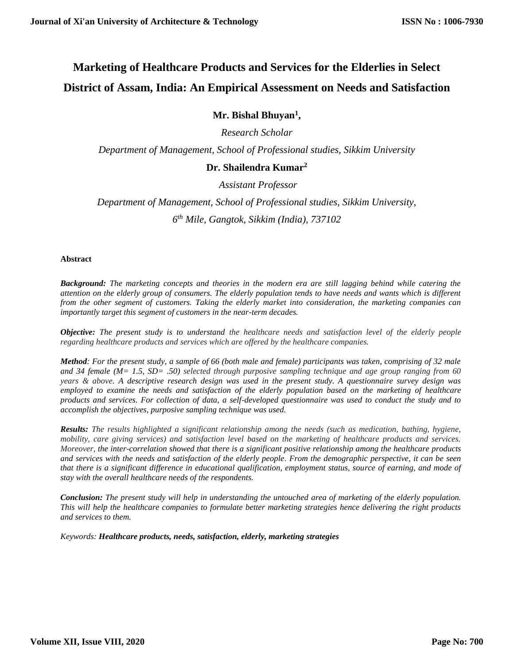# **Marketing of Healthcare Products and Services for the Elderlies in Select District of Assam, India: An Empirical Assessment on Needs and Satisfaction**

# **Mr. Bishal Bhuyan<sup>1</sup> ,**

*Research Scholar*

*Department of Management, School of Professional studies, Sikkim University* 

# **Dr. Shailendra Kumar<sup>2</sup>**

*Assistant Professor*

*Department of Management, School of Professional studies, Sikkim University, 6 th Mile, Gangtok, Sikkim (India), 737102*

#### **Abstract**

*Background: The marketing concepts and theories in the modern era are still lagging behind while catering the attention on the elderly group of consumers. The elderly population tends to have needs and wants which is different from the other segment of customers. Taking the elderly market into consideration, the marketing companies can importantly target this segment of customers in the near-term decades.*

*Objective: The present study is to understand the healthcare needs and satisfaction level of the elderly people regarding healthcare products and services which are offered by the healthcare companies.*

*Method: For the present study, a sample of 66 (both male and female) participants was taken, comprising of 32 male and 34 female (M= 1.5, SD= .50) selected through purposive sampling technique and age group ranging from 60 years & above. A descriptive research design was used in the present study. A questionnaire survey design was employed to examine the needs and satisfaction of the elderly population based on the marketing of healthcare products and services. For collection of data, a self-developed questionnaire was used to conduct the study and to accomplish the objectives, purposive sampling technique was used.*

*Results: The results highlighted a significant relationship among the needs (such as medication, bathing, hygiene, mobility, care giving services) and satisfaction level based on the marketing of healthcare products and services. Moreover, the inter-correlation showed that there is a significant positive relationship among the healthcare products and services with the needs and satisfaction of the elderly people. From the demographic perspective, it can be seen that there is a significant difference in educational qualification, employment status, source of earning, and mode of stay with the overall healthcare needs of the respondents.* 

*Conclusion: The present study will help in understanding the untouched area of marketing of the elderly population. This will help the healthcare companies to formulate better marketing strategies hence delivering the right products and services to them.*

*Keywords: Healthcare products, needs, satisfaction, elderly, marketing strategies*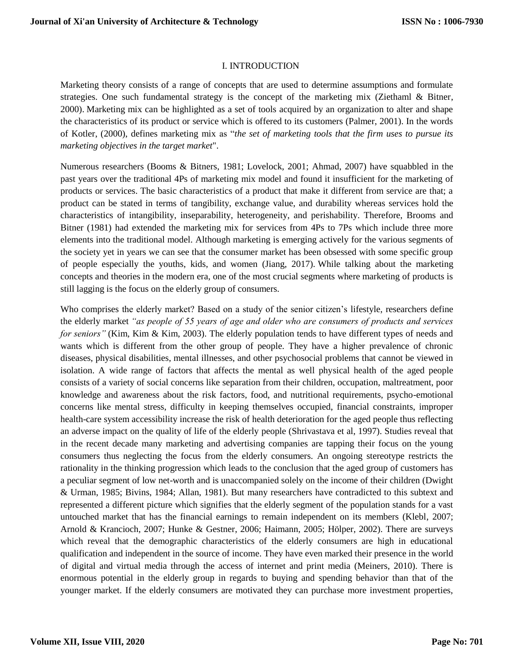#### I. INTRODUCTION

Marketing theory consists of a range of concepts that are used to determine assumptions and formulate strategies. One such fundamental strategy is the concept of the marketing mix (Ziethaml & Bitner, 2000). Marketing mix can be highlighted as a set of tools acquired by an organization to alter and shape the characteristics of its product or service which is offered to its customers (Palmer, 2001). In the words of Kotler, (2000), defines marketing mix as "*the set of marketing tools that the firm uses to pursue its marketing objectives in the target market*".

Numerous researchers (Booms & Bitners, 1981; Lovelock, 2001; Ahmad, 2007) have squabbled in the past years over the traditional 4Ps of marketing mix model and found it insufficient for the marketing of products or services. The basic characteristics of a product that make it different from service are that; a product can be stated in terms of tangibility, exchange value, and durability whereas services hold the characteristics of intangibility, inseparability, heterogeneity, and perishability. Therefore, Brooms and Bitner (1981) had extended the marketing mix for services from 4Ps to 7Ps which include three more elements into the traditional model. Although marketing is emerging actively for the various segments of the society yet in years we can see that the consumer market has been obsessed with some specific group of people especially the youths, kids, and women (Jiang, 2017). While talking about the marketing concepts and theories in the modern era, one of the most crucial segments where marketing of products is still lagging is the focus on the elderly group of consumers.

Who comprises the elderly market? Based on a study of the senior citizen's lifestyle, researchers define the elderly market *"as people of 55 years of age and older who are consumers of products and services for seniors"* (Kim, Kim & Kim, 2003). The elderly population tends to have different types of needs and wants which is different from the other group of people. They have a higher prevalence of chronic diseases, physical disabilities, mental illnesses, and other psychosocial problems that cannot be viewed in isolation. A wide range of factors that affects the mental as well physical health of the aged people consists of a variety of social concerns like separation from their children, occupation, maltreatment, poor knowledge and awareness about the risk factors, food, and nutritional requirements, psycho-emotional concerns like mental stress, difficulty in keeping themselves occupied, financial constraints, improper health-care system accessibility increase the risk of health deterioration for the aged people thus reflecting an adverse impact on the quality of life of the elderly people (Shrivastava et al, 1997). Studies reveal that in the recent decade many marketing and advertising companies are tapping their focus on the young consumers thus neglecting the focus from the elderly consumers. An ongoing stereotype restricts the rationality in the thinking progression which leads to the conclusion that the aged group of customers has a peculiar segment of low net-worth and is unaccompanied solely on the income of their children (Dwight & Urman, 1985; Bivins, 1984; Allan, 1981). But many researchers have contradicted to this subtext and represented a different picture which signifies that the elderly segment of the population stands for a vast untouched market that has the financial earnings to remain independent on its members (Klebl, 2007; Arnold & Krancioch, 2007; Hunke & Gestner, 2006; Haimann, 2005; Hölper, 2002). There are surveys which reveal that the demographic characteristics of the elderly consumers are high in educational qualification and independent in the source of income. They have even marked their presence in the world of digital and virtual media through the access of internet and print media (Meiners, 2010). There is enormous potential in the elderly group in regards to buying and spending behavior than that of the younger market. If the elderly consumers are motivated they can purchase more investment properties,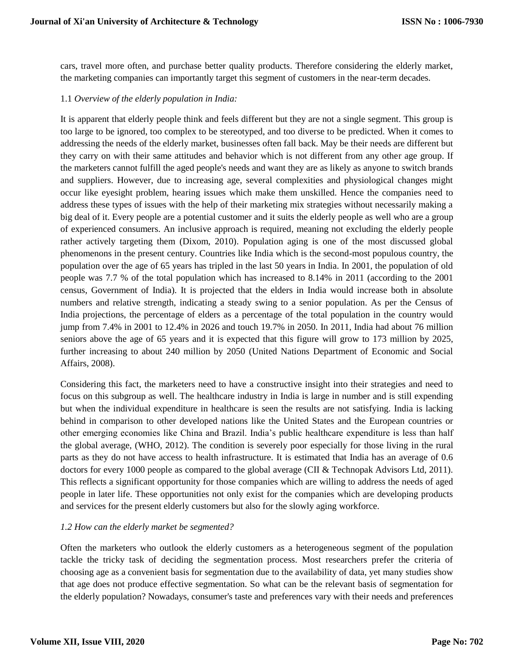cars, travel more often, and purchase better quality products. Therefore considering the elderly market, the marketing companies can importantly target this segment of customers in the near-term decades.

#### 1.1 *Overview of the elderly population in India:*

It is apparent that elderly people think and feels different but they are not a single segment. This group is too large to be ignored, too complex to be stereotyped, and too diverse to be predicted. When it comes to addressing the needs of the elderly market, businesses often fall back. May be their needs are different but they carry on with their same attitudes and behavior which is not different from any other age group. If the marketers cannot fulfill the aged people's needs and want they are as likely as anyone to switch brands and suppliers. However, due to increasing age, several complexities and physiological changes might occur like eyesight problem, hearing issues which make them unskilled. Hence the companies need to address these types of issues with the help of their marketing mix strategies without necessarily making a big deal of it. Every people are a potential customer and it suits the elderly people as well who are a group of experienced consumers. An inclusive approach is required, meaning not excluding the elderly people rather actively targeting them (Dixom, 2010). Population aging is one of the most discussed global phenomenons in the present century. Countries like India which is the second-most populous country, the population over the age of 65 years has tripled in the last 50 years in India. In 2001, the population of old people was 7.7 % of the total population which has increased to 8.14% in 2011 (according to the 2001 census, Government of India). It is projected that the elders in India would increase both in absolute numbers and relative strength, indicating a steady swing to a senior population. As per the Census of India projections, the percentage of elders as a percentage of the total population in the country would jump from 7.4% in 2001 to 12.4% in 2026 and touch 19.7% in 2050. In 2011, India had about 76 million seniors above the age of 65 years and it is expected that this figure will grow to 173 million by 2025, further increasing to about 240 million by 2050 (United Nations Department of Economic and Social Affairs, 2008).

Considering this fact, the marketers need to have a constructive insight into their strategies and need to focus on this subgroup as well. The healthcare industry in India is large in number and is still expending but when the individual expenditure in healthcare is seen the results are not satisfying. India is lacking behind in comparison to other developed nations like the United States and the European countries or other emerging economies like China and Brazil. India's public healthcare expenditure is less than half the global average, (WHO, 2012). The condition is severely poor especially for those living in the rural parts as they do not have access to health infrastructure. It is estimated that India has an average of 0.6 doctors for every 1000 people as compared to the global average (CII & Technopak Advisors Ltd, 2011). This reflects a significant opportunity for those companies which are willing to address the needs of aged people in later life. These opportunities not only exist for the companies which are developing products and services for the present elderly customers but also for the slowly aging workforce.

# *1.2 How can the elderly market be segmented?*

Often the marketers who outlook the elderly customers as a heterogeneous segment of the population tackle the tricky task of deciding the segmentation process. Most researchers prefer the criteria of choosing age as a convenient basis for segmentation due to the availability of data, yet many studies show that age does not produce effective segmentation. So what can be the relevant basis of segmentation for the elderly population? Nowadays, consumer's taste and preferences vary with their needs and preferences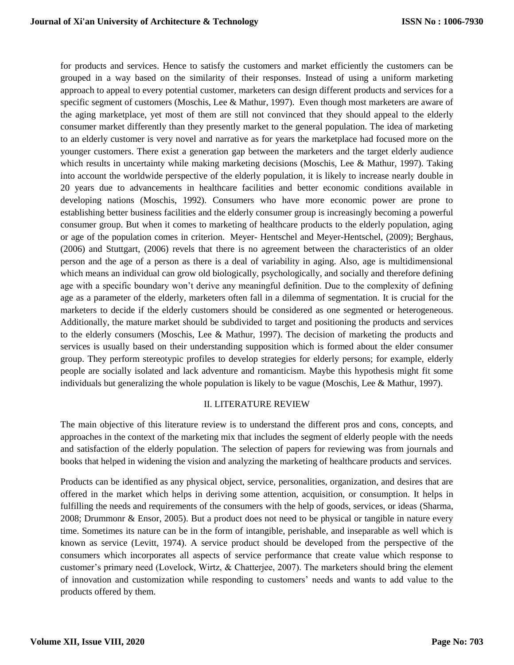for products and services. Hence to satisfy the customers and market efficiently the customers can be grouped in a way based on the similarity of their responses. Instead of using a uniform marketing approach to appeal to every potential customer, marketers can design different products and services for a specific segment of customers (Moschis, Lee & Mathur, 1997). Even though most marketers are aware of the aging marketplace, yet most of them are still not convinced that they should appeal to the elderly consumer market differently than they presently market to the general population. The idea of marketing to an elderly customer is very novel and narrative as for years the marketplace had focused more on the younger customers. There exist a generation gap between the marketers and the target elderly audience which results in uncertainty while making marketing decisions (Moschis, Lee & Mathur, 1997). Taking into account the worldwide perspective of the elderly population, it is likely to increase nearly double in 20 years due to advancements in healthcare facilities and better economic conditions available in developing nations (Moschis, 1992). Consumers who have more economic power are prone to establishing better business facilities and the elderly consumer group is increasingly becoming a powerful consumer group. But when it comes to marketing of healthcare products to the elderly population, aging or age of the population comes in criterion. Meyer- Hentschel and Meyer-Hentschel, (2009); Berghaus, (2006) and Stuttgart, (2006) revels that there is no agreement between the characteristics of an older person and the age of a person as there is a deal of variability in aging. Also, age is multidimensional which means an individual can grow old biologically, psychologically, and socially and therefore defining age with a specific boundary won't derive any meaningful definition. Due to the complexity of defining age as a parameter of the elderly, marketers often fall in a dilemma of segmentation. It is crucial for the marketers to decide if the elderly customers should be considered as one segmented or heterogeneous. Additionally, the mature market should be subdivided to target and positioning the products and services to the elderly consumers (Moschis, Lee & Mathur, 1997). The decision of marketing the products and services is usually based on their understanding supposition which is formed about the elder consumer group. They perform stereotypic profiles to develop strategies for elderly persons; for example, elderly people are socially isolated and lack adventure and romanticism. Maybe this hypothesis might fit some individuals but generalizing the whole population is likely to be vague (Moschis, Lee & Mathur, 1997).

#### II. LITERATURE REVIEW

The main objective of this literature review is to understand the different pros and cons, concepts, and approaches in the context of the marketing mix that includes the segment of elderly people with the needs and satisfaction of the elderly population. The selection of papers for reviewing was from journals and books that helped in widening the vision and analyzing the marketing of healthcare products and services.

Products can be identified as any physical object, service, personalities, organization, and desires that are offered in the market which helps in deriving some attention, acquisition, or consumption. It helps in fulfilling the needs and requirements of the consumers with the help of goods, services, or ideas (Sharma, 2008; Drummonr & Ensor, 2005). But a product does not need to be physical or tangible in nature every time. Sometimes its nature can be in the form of intangible, perishable, and inseparable as well which is known as service (Levitt, 1974). A service product should be developed from the perspective of the consumers which incorporates all aspects of service performance that create value which response to customer's primary need (Lovelock, Wirtz, & Chatterjee, 2007). The marketers should bring the element of innovation and customization while responding to customers' needs and wants to add value to the products offered by them.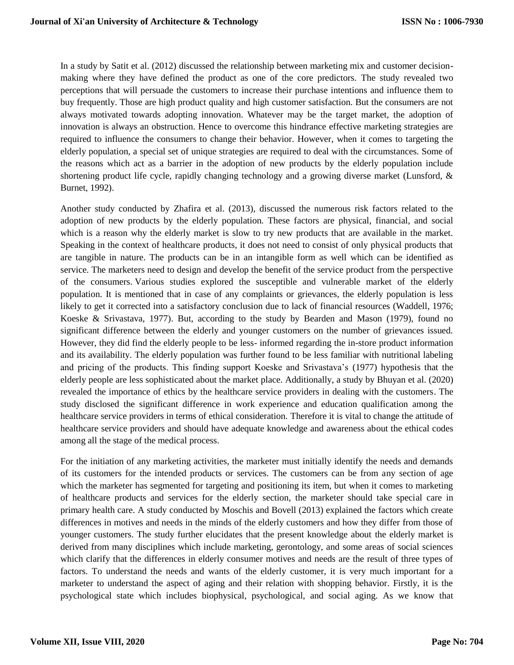In a study by Satit et al. (2012) discussed the relationship between marketing mix and customer decisionmaking where they have defined the product as one of the core predictors. The study revealed two perceptions that will persuade the customers to increase their purchase intentions and influence them to buy frequently. Those are high product quality and high customer satisfaction. But the consumers are not always motivated towards adopting innovation. Whatever may be the target market, the adoption of innovation is always an obstruction. Hence to overcome this hindrance effective marketing strategies are required to influence the consumers to change their behavior. However, when it comes to targeting the elderly population, a special set of unique strategies are required to deal with the circumstances. Some of the reasons which act as a barrier in the adoption of new products by the elderly population include shortening product life cycle, rapidly changing technology and a growing diverse market (Lunsford, & Burnet, 1992).

Another study conducted by Zhafira et al. (2013), discussed the numerous risk factors related to the adoption of new products by the elderly population. These factors are physical, financial, and social which is a reason why the elderly market is slow to try new products that are available in the market. Speaking in the context of healthcare products, it does not need to consist of only physical products that are tangible in nature. The products can be in an intangible form as well which can be identified as service. The marketers need to design and develop the benefit of the service product from the perspective of the consumers. Various studies explored the susceptible and vulnerable market of the elderly population. It is mentioned that in case of any complaints or grievances, the elderly population is less likely to get it corrected into a satisfactory conclusion due to lack of financial resources (Waddell, 1976; Koeske & Srivastava, 1977). But, according to the study by Bearden and Mason (1979), found no significant difference between the elderly and younger customers on the number of grievances issued. However, they did find the elderly people to be less- informed regarding the in-store product information and its availability. The elderly population was further found to be less familiar with nutritional labeling and pricing of the products. This finding support Koeske and Srivastava's (1977) hypothesis that the elderly people are less sophisticated about the market place. Additionally, a study by Bhuyan et al. (2020) revealed the importance of ethics by the healthcare service providers in dealing with the customers. The study disclosed the significant difference in work experience and education qualification among the healthcare service providers in terms of ethical consideration. Therefore it is vital to change the attitude of healthcare service providers and should have adequate knowledge and awareness about the ethical codes among all the stage of the medical process.

For the initiation of any marketing activities, the marketer must initially identify the needs and demands of its customers for the intended products or services. The customers can be from any section of age which the marketer has segmented for targeting and positioning its item, but when it comes to marketing of healthcare products and services for the elderly section, the marketer should take special care in primary health care. A study conducted by Moschis and Bovell (2013) explained the factors which create differences in motives and needs in the minds of the elderly customers and how they differ from those of younger customers. The study further elucidates that the present knowledge about the elderly market is derived from many disciplines which include marketing, gerontology, and some areas of social sciences which clarify that the differences in elderly consumer motives and needs are the result of three types of factors. To understand the needs and wants of the elderly customer, it is very much important for a marketer to understand the aspect of aging and their relation with shopping behavior. Firstly, it is the psychological state which includes biophysical, psychological, and social aging. As we know that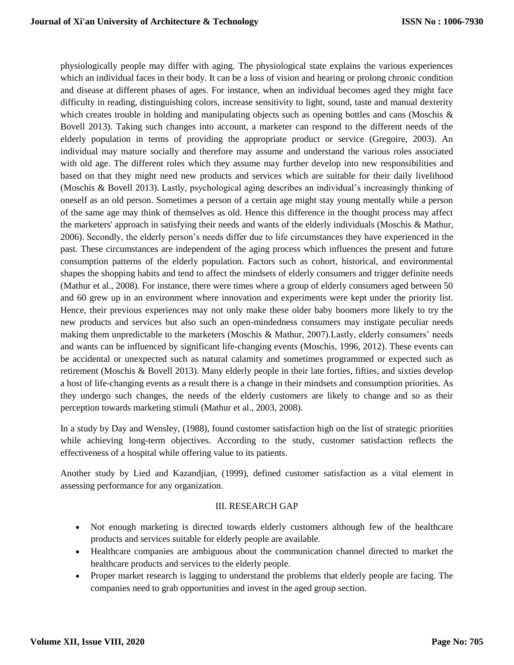physiologically people may differ with aging. The physiological state explains the various experiences which an individual faces in their body. It can be a loss of vision and hearing or prolong chronic condition and disease at different phases of ages. For instance, when an individual becomes aged they might face difficulty in reading, distinguishing colors, increase sensitivity to light, sound, taste and manual dexterity which creates trouble in holding and manipulating objects such as opening bottles and cans (Moschis & Bovell 2013). Taking such changes into account, a marketer can respond to the different needs of the elderly population in terms of providing the appropriate product or service (Gregoire, 2003). An individual may mature socially and therefore may assume and understand the various roles associated with old age. The different roles which they assume may further develop into new responsibilities and based on that they might need new products and services which are suitable for their daily livelihood (Moschis & Bovell 2013). Lastly, psychological aging describes an individual's increasingly thinking of oneself as an old person. Sometimes a person of a certain age might stay young mentally while a person of the same age may think of themselves as old. Hence this difference in the thought process may affect the marketers' approach in satisfying their needs and wants of the elderly individuals (Moschis & Mathur, 2006). Secondly, the elderly person's needs differ due to life circumstances they have experienced in the past. These circumstances are independent of the aging process which influences the present and future consumption patterns of the elderly population. Factors such as cohort, historical, and environmental shapes the shopping habits and tend to affect the mindsets of elderly consumers and trigger definite needs (Mathur et al., 2008). For instance, there were times where a group of elderly consumers aged between 50 and 60 grew up in an environment where innovation and experiments were kept under the priority list. Hence, their previous experiences may not only make these older baby boomers more likely to try the new products and services but also such an open-mindedness consumers may instigate peculiar needs making them unpredictable to the marketers (Moschis & Mathur, 2007).Lastly, elderly consumers' needs and wants can be influenced by significant life-changing events (Moschis, 1996, 2012). These events can be accidental or unexpected such as natural calamity and sometimes programmed or expected such as retirement (Moschis & Bovell 2013). Many elderly people in their late forties, fifties, and sixties develop a host of life-changing events as a result there is a change in their mindsets and consumption priorities. As they undergo such changes, the needs of the elderly customers are likely to change and so as their perception towards marketing stimuli (Mathur et al., 2003, 2008).

In a study by Day and Wensley, (1988), found customer satisfaction high on the list of strategic priorities while achieving long-term objectives. According to the study, customer satisfaction reflects the effectiveness of a hospital while offering value to its patients.

Another study by Lied and Kazandjian, (1999), defined customer satisfaction as a vital element in assessing performance for any organization.

# III. RESEARCH GAP

- Not enough marketing is directed towards elderly customers although few of the healthcare products and services suitable for elderly people are available.
- Healthcare companies are ambiguous about the communication channel directed to market the healthcare products and services to the elderly people.
- Proper market research is lagging to understand the problems that elderly people are facing. The companies need to grab opportunities and invest in the aged group section.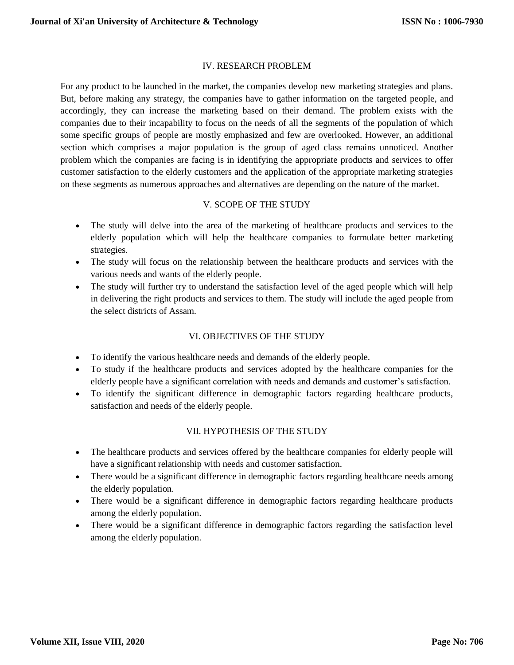# IV. RESEARCH PROBLEM

For any product to be launched in the market, the companies develop new marketing strategies and plans. But, before making any strategy, the companies have to gather information on the targeted people, and accordingly, they can increase the marketing based on their demand. The problem exists with the companies due to their incapability to focus on the needs of all the segments of the population of which some specific groups of people are mostly emphasized and few are overlooked. However, an additional section which comprises a major population is the group of aged class remains unnoticed. Another problem which the companies are facing is in identifying the appropriate products and services to offer customer satisfaction to the elderly customers and the application of the appropriate marketing strategies on these segments as numerous approaches and alternatives are depending on the nature of the market.

# V. SCOPE OF THE STUDY

- The study will delve into the area of the marketing of healthcare products and services to the elderly population which will help the healthcare companies to formulate better marketing strategies.
- The study will focus on the relationship between the healthcare products and services with the various needs and wants of the elderly people.
- The study will further try to understand the satisfaction level of the aged people which will help in delivering the right products and services to them. The study will include the aged people from the select districts of Assam.

# VI. OBJECTIVES OF THE STUDY

- To identify the various healthcare needs and demands of the elderly people.
- To study if the healthcare products and services adopted by the healthcare companies for the elderly people have a significant correlation with needs and demands and customer's satisfaction.
- To identify the significant difference in demographic factors regarding healthcare products, satisfaction and needs of the elderly people.

# VII. HYPOTHESIS OF THE STUDY

- The healthcare products and services offered by the healthcare companies for elderly people will have a significant relationship with needs and customer satisfaction.
- There would be a significant difference in demographic factors regarding healthcare needs among the elderly population.
- There would be a significant difference in demographic factors regarding healthcare products among the elderly population.
- There would be a significant difference in demographic factors regarding the satisfaction level among the elderly population.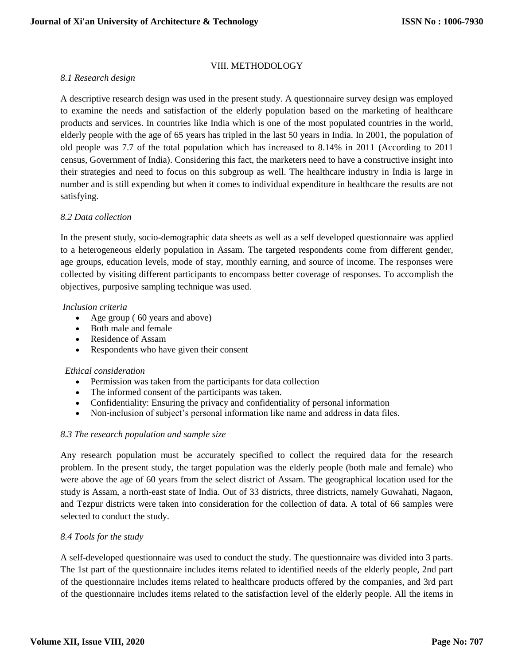# VIII. METHODOLOGY

# *8.1 Research design*

A descriptive research design was used in the present study. A questionnaire survey design was employed to examine the needs and satisfaction of the elderly population based on the marketing of healthcare products and services. In countries like India which is one of the most populated countries in the world, elderly people with the age of 65 years has tripled in the last 50 years in India. In 2001, the population of old people was 7.7 of the total population which has increased to 8.14% in 2011 (According to 2011 census, Government of India). Considering this fact, the marketers need to have a constructive insight into their strategies and need to focus on this subgroup as well. The healthcare industry in India is large in number and is still expending but when it comes to individual expenditure in healthcare the results are not satisfying.

# *8.2 Data collection*

In the present study, socio-demographic data sheets as well as a self developed questionnaire was applied to a heterogeneous elderly population in Assam. The targeted respondents come from different gender, age groups, education levels, mode of stay, monthly earning, and source of income. The responses were collected by visiting different participants to encompass better coverage of responses. To accomplish the objectives, purposive sampling technique was used.

#### *Inclusion criteria*

- Age group (60 years and above)
- Both male and female
- Residence of Assam
- Respondents who have given their consent

# *Ethical consideration*

- Permission was taken from the participants for data collection
- The informed consent of the participants was taken.
- Confidentiality: Ensuring the privacy and confidentiality of personal information
- Non-inclusion of subject's personal information like name and address in data files.

# *8.3 The research population and sample size*

Any research population must be accurately specified to collect the required data for the research problem. In the present study, the target population was the elderly people (both male and female) who were above the age of 60 years from the select district of Assam. The geographical location used for the study is Assam, a north-east state of India. Out of 33 districts, three districts, namely Guwahati, Nagaon, and Tezpur districts were taken into consideration for the collection of data. A total of 66 samples were selected to conduct the study.

# *8.4 Tools for the study*

A self-developed questionnaire was used to conduct the study. The questionnaire was divided into 3 parts. The 1st part of the questionnaire includes items related to identified needs of the elderly people, 2nd part of the questionnaire includes items related to healthcare products offered by the companies, and 3rd part of the questionnaire includes items related to the satisfaction level of the elderly people. All the items in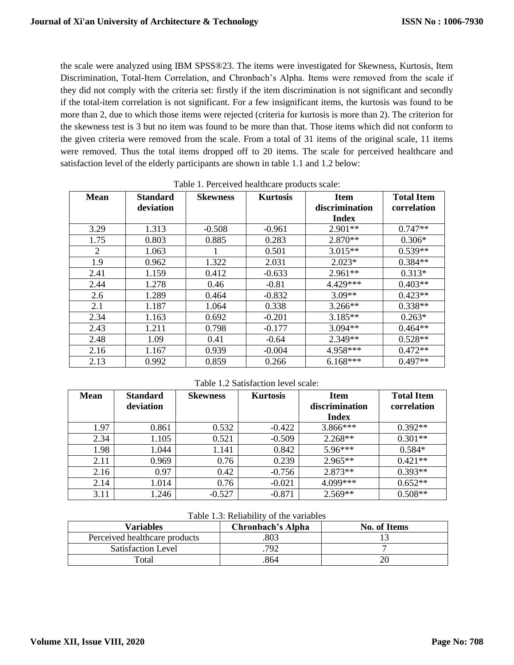the scale were analyzed using IBM SPSS®23. The items were investigated for Skewness, Kurtosis, Item Discrimination, Total-Item Correlation, and Chronbach's Alpha. Items were removed from the scale if they did not comply with the criteria set: firstly if the item discrimination is not significant and secondly if the total-item correlation is not significant. For a few insignificant items, the kurtosis was found to be more than 2, due to which those items were rejected (criteria for kurtosis is more than 2). The criterion for the skewness test is 3 but no item was found to be more than that. Those items which did not conform to the given criteria were removed from the scale. From a total of 31 items of the original scale, 11 items were removed. Thus the total items dropped off to 20 items. The scale for perceived healthcare and satisfaction level of the elderly participants are shown in table 1.1 and 1.2 below:

| <b>Mean</b>    | <b>Standard</b> | <b>Skewness</b> | <b>Kurtosis</b> | <b>Item</b>    | <b>Total Item</b> |  |  |  |
|----------------|-----------------|-----------------|-----------------|----------------|-------------------|--|--|--|
|                | deviation       |                 |                 | discrimination | correlation       |  |  |  |
|                |                 |                 |                 | <b>Index</b>   |                   |  |  |  |
| 3.29           | 1.313           | $-0.508$        | $-0.961$        | $2.901**$      | $0.747**$         |  |  |  |
| 1.75           | 0.803           | 0.885           | 0.283           | $2.870**$      | $0.306*$          |  |  |  |
| $\overline{2}$ | 1.063           |                 | 0.501           | $3.015**$      | $0.539**$         |  |  |  |
| 1.9            | 0.962           | 1.322           | 2.031           | $2.023*$       | $0.384**$         |  |  |  |
| 2.41           | 1.159           | 0.412           | $-0.633$        | $2.961**$      | $0.313*$          |  |  |  |
| 2.44           | 1.278           | 0.46            | $-0.81$         | 4.429***       | $0.403**$         |  |  |  |
| 2.6            | 1.289           | 0.464           | $-0.832$        | $3.09**$       | $0.423**$         |  |  |  |
| 2.1            | 1.187           | 1.064           | 0.338           | $3.266**$      | $0.338**$         |  |  |  |
| 2.34           | 1.163           | 0.692           | $-0.201$        | $3.185**$      | $0.263*$          |  |  |  |
| 2.43           | 1.211           | 0.798           | $-0.177$        | 3.094**        | $0.464**$         |  |  |  |
| 2.48           | 1.09            | 0.41            | $-0.64$         | $2.349**$      | $0.528**$         |  |  |  |
| 2.16           | 1.167           | 0.939           | $-0.004$        | 4.958***       | $0.472**$         |  |  |  |
| 2.13           | 0.992           | 0.859           | 0.266           | $6.168***$     | $0.497**$         |  |  |  |

Table 1. Perceived healthcare products scale:

Table 1.2 Satisfaction level scale:

| <b>Mean</b> | <b>Standard</b> | <b>Skewness</b> | <b>Kurtosis</b> | <b>Item</b>    | <b>Total Item</b> |
|-------------|-----------------|-----------------|-----------------|----------------|-------------------|
|             | deviation       |                 |                 | discrimination | correlation       |
|             |                 |                 |                 | <b>Index</b>   |                   |
| 1.97        | 0.861           | 0.532           | $-0.422$        | 3.866***       | $0.392**$         |
| 2.34        | 1.105           | 0.521           | $-0.509$        | $2.268**$      | $0.301**$         |
| 1.98        | 1.044           | 1.141           | 0.842           | $5.96***$      | $0.584*$          |
| 2.11        | 0.969           | 0.76            | 0.239           | $2.965**$      | $0.421**$         |
| 2.16        | 0.97            | 0.42            | $-0.756$        | $2.873**$      | $0.393**$         |
| 2.14        | 1.014           | 0.76            | $-0.021$        | 4.099***       | $0.652**$         |
| 3.11        | .246            | $-0.527$        | $-0.871$        | $2.569**$      | $0.508**$         |

Table 1.3: Reliability of the variables

| Variables                     | Chronbach's Alpha | <b>No. of Items</b> |
|-------------------------------|-------------------|---------------------|
| Perceived healthcare products | 803               |                     |
| <b>Satisfaction Level</b>     | 792               |                     |
| Total                         | 864               |                     |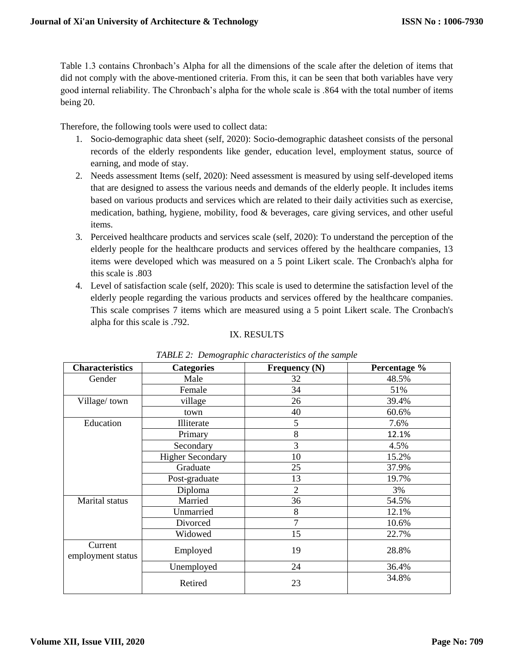Table 1.3 contains Chronbach's Alpha for all the dimensions of the scale after the deletion of items that did not comply with the above-mentioned criteria. From this, it can be seen that both variables have very good internal reliability. The Chronbach's alpha for the whole scale is .864 with the total number of items being 20.

Therefore, the following tools were used to collect data:

- 1. Socio-demographic data sheet (self, 2020): Socio-demographic datasheet consists of the personal records of the elderly respondents like gender, education level, employment status, source of earning, and mode of stay.
- 2. Needs assessment Items (self, 2020): Need assessment is measured by using self-developed items that are designed to assess the various needs and demands of the elderly people. It includes items based on various products and services which are related to their daily activities such as exercise, medication, bathing, hygiene, mobility, food & beverages, care giving services, and other useful items.
- 3. Perceived healthcare products and services scale (self, 2020): To understand the perception of the elderly people for the healthcare products and services offered by the healthcare companies, 13 items were developed which was measured on a 5 point Likert scale. The Cronbach's alpha for this scale is .803
- 4. Level of satisfaction scale (self, 2020): This scale is used to determine the satisfaction level of the elderly people regarding the various products and services offered by the healthcare companies. This scale comprises 7 items which are measured using a 5 point Likert scale. The Cronbach's alpha for this scale is .792.

# IX. RESULTS

| <b>Characteristics</b>       | <b>Categories</b>       | Frequency (N)  | Percentage % |
|------------------------------|-------------------------|----------------|--------------|
| Gender                       | Male                    | 32             | 48.5%        |
|                              | Female                  | 34             | 51%          |
| Village/town                 | village                 | 26             | 39.4%        |
|                              | town                    | 40             | 60.6%        |
| Education                    | Illiterate              | 5              | 7.6%         |
|                              | Primary                 | 8              | 12.1%        |
|                              | Secondary               | 3              | 4.5%         |
|                              | <b>Higher Secondary</b> | 10             | 15.2%        |
|                              | Graduate                | 25             | 37.9%        |
|                              | Post-graduate           | 13             | 19.7%        |
|                              | Diploma                 | $\overline{2}$ | 3%           |
| Marital status               | Married                 | 36             | 54.5%        |
|                              | Unmarried               | 8              | 12.1%        |
|                              | Divorced                | 7              | 10.6%        |
|                              | Widowed                 | 15             | 22.7%        |
| Current<br>employment status | Employed                | 19             | 28.8%        |
|                              | Unemployed              | 24             | 36.4%        |
|                              | Retired                 | 23             | 34.8%        |

*TABLE 2: Demographic characteristics of the sample*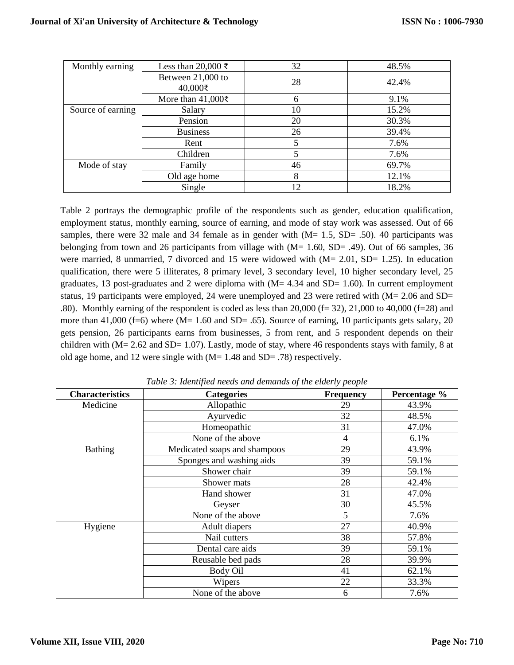| Monthly earning   | Less than 20,000 ₹             | 32 | 48.5% |
|-------------------|--------------------------------|----|-------|
|                   | Between 21,000 to<br>40,000₹   | 28 | 42.4% |
|                   | More than $41,000\overline{5}$ | 6  | 9.1%  |
| Source of earning | Salary                         | 10 | 15.2% |
|                   | Pension                        | 20 | 30.3% |
|                   | <b>Business</b>                | 26 | 39.4% |
|                   | Rent                           |    | 7.6%  |
|                   | Children                       | 5  | 7.6%  |
| Mode of stay      | Family                         | 46 | 69.7% |
|                   | Old age home                   | 8  | 12.1% |
|                   | Single                         | 12 | 18.2% |

Table 2 portrays the demographic profile of the respondents such as gender, education qualification, employment status, monthly earning, source of earning, and mode of stay work was assessed. Out of 66 samples, there were 32 male and 34 female as in gender with  $(M= 1.5, SD= .50)$ . 40 participants was belonging from town and 26 participants from village with  $(M= 1.60, SD= .49)$ . Out of 66 samples, 36 were married, 8 unmarried, 7 divorced and 15 were widowed with (M= 2.01, SD= 1.25). In education qualification, there were 5 illiterates, 8 primary level, 3 secondary level, 10 higher secondary level, 25 graduates, 13 post-graduates and 2 were diploma with  $(M= 4.34$  and SD= 1.60). In current employment status, 19 participants were employed, 24 were unemployed and 23 were retired with (M= 2.06 and SD= .80). Monthly earning of the respondent is coded as less than  $20,000$  (f= 32), 21,000 to 40,000 (f=28) and more than 41,000 (f=6) where (M= 1.60 and SD= .65). Source of earning, 10 participants gets salary, 20 gets pension, 26 participants earns from businesses, 5 from rent, and 5 respondent depends on their children with (M= 2.62 and SD= 1.07). Lastly, mode of stay, where 46 respondents stays with family, 8 at old age home, and 12 were single with (M= 1.48 and SD= .78) respectively.

| <b>Characteristics</b> | <b>Categories</b>            | <b>Frequency</b> | Percentage % |
|------------------------|------------------------------|------------------|--------------|
| Medicine               | Allopathic                   | 29               | 43.9%        |
|                        | Ayurvedic                    | 32               | 48.5%        |
|                        | Homeopathic                  | 31               | 47.0%        |
|                        | None of the above            | $\overline{4}$   | 6.1%         |
| <b>Bathing</b>         | Medicated soaps and shampoos | 29               | 43.9%        |
|                        | Sponges and washing aids     | 39               | 59.1%        |
|                        | Shower chair                 | 39               | 59.1%        |
|                        | Shower mats                  | 28               | 42.4%        |
|                        | Hand shower                  | 31               | 47.0%        |
|                        | Geyser                       | 30               | 45.5%        |
|                        | None of the above            | 5                | 7.6%         |
| Hygiene                | Adult diapers                | 27               | 40.9%        |
|                        | Nail cutters                 | 38               | 57.8%        |
|                        | Dental care aids             | 39               | 59.1%        |
|                        | Reusable bed pads            | 28               | 39.9%        |
|                        | Body Oil                     | 41               | 62.1%        |
|                        | Wipers                       | 22               | 33.3%        |
|                        | None of the above            | 6                | 7.6%         |

*Table 3: Identified needs and demands of the elderly people*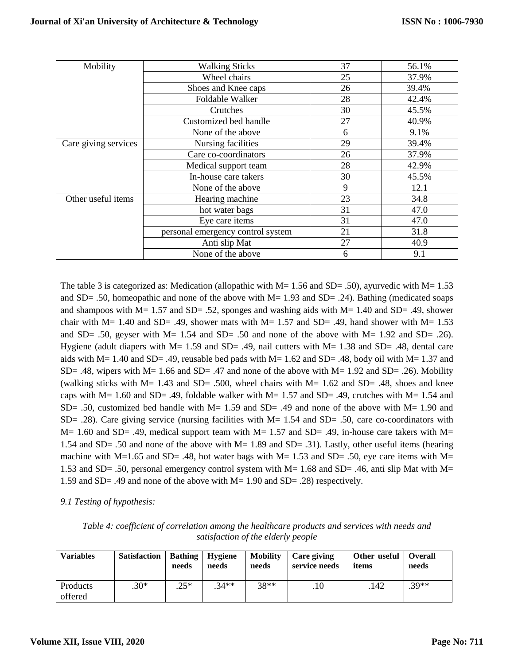| Mobility             | <b>Walking Sticks</b>             | 37 | 56.1% |
|----------------------|-----------------------------------|----|-------|
|                      | Wheel chairs                      | 25 | 37.9% |
|                      | Shoes and Knee caps               | 26 | 39.4% |
|                      | Foldable Walker                   | 28 | 42.4% |
|                      | Crutches                          | 30 | 45.5% |
|                      | Customized bed handle             | 27 | 40.9% |
|                      | None of the above                 | 6  | 9.1%  |
| Care giving services | Nursing facilities                | 29 | 39.4% |
|                      | Care co-coordinators              | 26 | 37.9% |
|                      | Medical support team              | 28 | 42.9% |
|                      | In-house care takers              | 30 | 45.5% |
|                      | None of the above                 | 9  | 12.1  |
| Other useful items   | Hearing machine                   | 23 | 34.8  |
|                      | hot water bags                    | 31 | 47.0  |
|                      | Eye care items                    | 31 | 47.0  |
|                      | personal emergency control system | 21 | 31.8  |
|                      | Anti slip Mat                     | 27 | 40.9  |
|                      | None of the above                 | 6  | 9.1   |

The table 3 is categorized as: Medication (allopathic with  $M = 1.56$  and SD= .50), ayurvedic with  $M = 1.53$ and SD= .50, homeopathic and none of the above with  $M= 1.93$  and SD= .24). Bathing (medicated soaps and shampoos with  $M = 1.57$  and  $SD = .52$ , sponges and washing aids with  $M = 1.40$  and  $SD = .49$ , shower chair with  $M= 1.40$  and SD= .49, shower mats with  $M= 1.57$  and SD= .49, hand shower with  $M= 1.53$ and SD= .50, geyser with  $M = 1.54$  and SD= .50 and none of the above with  $M = 1.92$  and SD= .26). Hygiene (adult diapers with  $M = 1.59$  and  $SD = .49$ , nail cutters with  $M = 1.38$  and  $SD = .48$ , dental care aids with M= 1.40 and SD= .49, reusable bed pads with M= 1.62 and SD= .48, body oil with M= 1.37 and SD= .48, wipers with M= 1.66 and SD= .47 and none of the above with M= 1.92 and SD= .26). Mobility (walking sticks with M= 1.43 and SD= .500, wheel chairs with M= 1.62 and SD= .48, shoes and knee caps with  $M= 1.60$  and SD= .49, foldable walker with  $M= 1.57$  and SD= .49, crutches with  $M= 1.54$  and  $SD = .50$ , customized bed handle with M= 1.59 and SD= .49 and none of the above with M= 1.90 and SD= .28). Care giving service (nursing facilities with M= 1.54 and SD= .50, care co-coordinators with  $M= 1.60$  and SD= .49, medical support team with  $M= 1.57$  and SD= .49, in-house care takers with  $M=$ 1.54 and SD= .50 and none of the above with M= 1.89 and SD= .31). Lastly, other useful items (hearing machine with M=1.65 and SD= .48, hot water bags with M= 1.53 and SD= .50, eye care items with M= 1.53 and SD= .50, personal emergency control system with M= 1.68 and SD= .46, anti slip Mat with M= 1.59 and SD= .49 and none of the above with M= 1.90 and SD= .28) respectively.

*9.1 Testing of hypothesis:*

| Table 4: coefficient of correlation among the healthcare products and services with needs and |
|-----------------------------------------------------------------------------------------------|
| satisfaction of the elderly people                                                            |

| <b>Variables</b>    | <b>Satisfaction</b> | <b>Bathing</b><br>needs | Hygiene<br>needs | <b>Mobility</b><br>needs | Care giving<br>service needs | Other useful   Overall<br>items | needs   |
|---------------------|---------------------|-------------------------|------------------|--------------------------|------------------------------|---------------------------------|---------|
| Products<br>offered | $.30*$              | .25*                    | $.34**$          | $38**$                   | .10                          | .142                            | $.39**$ |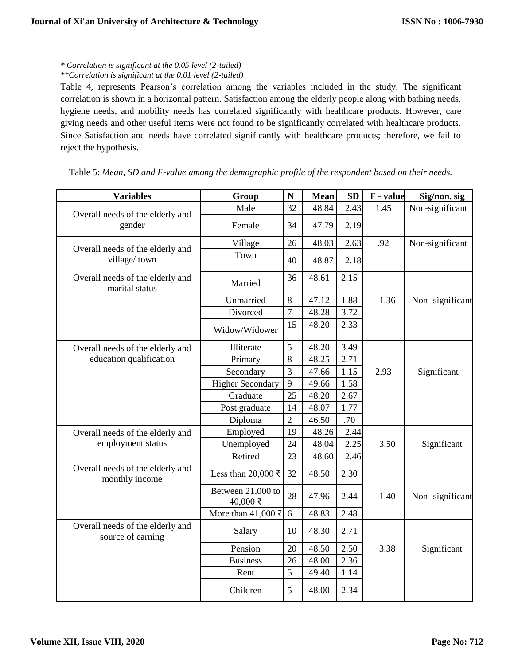# *\* Correlation is significant at the 0.05 level (2-tailed)*

# *\*\*Correlation is significant at the 0.01 level (2-tailed)*

Table 4, represents Pearson's correlation among the variables included in the study. The significant correlation is shown in a horizontal pattern. Satisfaction among the elderly people along with bathing needs, hygiene needs, and mobility needs has correlated significantly with healthcare products. However, care giving needs and other useful items were not found to be significantly correlated with healthcare products. Since Satisfaction and needs have correlated significantly with healthcare products; therefore, we fail to reject the hypothesis.

| <b>Variables</b>                                      | Group                         | ${\bf N}$      | <b>Mean</b> | <b>SD</b> | F - value | Sig/non. sig    |
|-------------------------------------------------------|-------------------------------|----------------|-------------|-----------|-----------|-----------------|
| Overall needs of the elderly and                      | Male                          | 32             | 48.84       | 2.43      | 1.45      | Non-significant |
| gender                                                | Female                        | 34             | 47.79       | 2.19      |           |                 |
| Overall needs of the elderly and                      | Village                       | 26             | 48.03       | 2.63      | .92       | Non-significant |
| village/town                                          | Town                          | 40             | 48.87       | 2.18      |           |                 |
| Overall needs of the elderly and<br>marital status    | Married                       | 36             | 48.61       | 2.15      |           |                 |
|                                                       | Unmarried                     | 8              | 47.12       | 1.88      | 1.36      | Non-significant |
|                                                       | Divorced                      | $\overline{7}$ | 48.28       | 3.72      |           |                 |
|                                                       | Widow/Widower                 | 15             | 48.20       | 2.33      |           |                 |
| Overall needs of the elderly and                      | Illiterate                    | 5              | 48.20       | 3.49      |           |                 |
| education qualification                               | Primary                       | 8              | 48.25       | 2.71      |           |                 |
|                                                       | Secondary                     | 3              | 47.66       | 1.15      | 2.93      | Significant     |
|                                                       | <b>Higher Secondary</b>       | 9              | 49.66       | 1.58      |           |                 |
|                                                       | Graduate                      | 25             | 48.20       | 2.67      |           |                 |
|                                                       | Post graduate                 | 14             | 48.07       | 1.77      |           |                 |
|                                                       | Diploma                       | $\overline{2}$ | 46.50       | .70       |           |                 |
| Overall needs of the elderly and                      | Employed                      | 19             | 48.26       | 2.44      |           |                 |
| employment status                                     | Unemployed                    | 24             | 48.04       | 2.25      | 3.50      | Significant     |
|                                                       | Retired                       | 23             | 48.60       | 2.46      |           |                 |
| Overall needs of the elderly and<br>monthly income    | Less than 20,000 ₹            | 32             | 48.50       | 2.30      |           |                 |
|                                                       | Between 21,000 to<br>40,000 ₹ | 28             | 47.96       | 2.44      | 1.40      | Non-significant |
|                                                       | More than 41,000 $\bar{\tau}$ | 6              | 48.83       | 2.48      |           |                 |
| Overall needs of the elderly and<br>source of earning | Salary                        | 10             | 48.30       | 2.71      |           |                 |
|                                                       | Pension                       | 20             | 48.50       | 2.50      | 3.38      | Significant     |
|                                                       | <b>Business</b>               | 26             | 48.00       | 2.36      |           |                 |
|                                                       | Rent                          | 5              | 49.40       | 1.14      |           |                 |
|                                                       | Children                      | 5              | 48.00       | 2.34      |           |                 |

Table 5: *Mean, SD and F-value among the demographic profile of the respondent based on their needs.*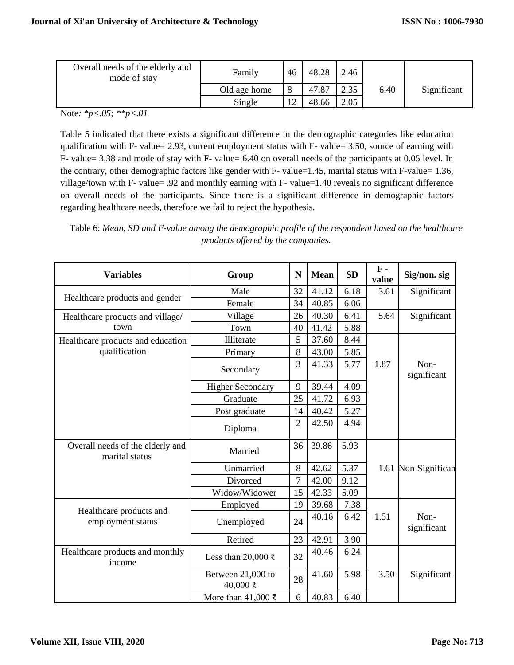| Overall needs of the elderly and<br>mode of stay | Family       | 46 | 48.28 | 2.46 |      |             |
|--------------------------------------------------|--------------|----|-------|------|------|-------------|
|                                                  | Old age home |    | 47.87 | 2.35 | 6.40 | Significant |
|                                                  | Single       | 12 | 48.66 | 2.05 |      |             |

Note*: \*p<.05; \*\*p<.01*

Table 5 indicated that there exists a significant difference in the demographic categories like education qualification with F- value= 2.93, current employment status with F- value= 3.50, source of earning with F- value= 3.38 and mode of stay with F- value= 6.40 on overall needs of the participants at 0.05 level. In the contrary, other demographic factors like gender with F- value=1.45, marital status with F-value= 1.36, village/town with F- value= .92 and monthly earning with F- value=1.40 reveals no significant difference on overall needs of the participants. Since there is a significant difference in demographic factors regarding healthcare needs, therefore we fail to reject the hypothesis.

Table 6: *Mean, SD and F-value among the demographic profile of the respondent based on the healthcare products offered by the companies.*

| <b>Variables</b>                                   | Group                           | N              | <b>Mean</b> | <b>SD</b> | $\mathbf{F}$ -<br>value | Sig/non. sig        |
|----------------------------------------------------|---------------------------------|----------------|-------------|-----------|-------------------------|---------------------|
|                                                    | Male                            | 32             | 41.12       | 6.18      | 3.61                    | Significant         |
| Healthcare products and gender                     | Female                          | 34             | 40.85       | 6.06      |                         |                     |
| Healthcare products and village/                   | Village                         | 26             | 40.30       | 6.41      | 5.64                    | Significant         |
| town                                               | Town                            | 40             | 41.42       | 5.88      |                         |                     |
| Healthcare products and education                  | Illiterate                      | 5              | 37.60       | 8.44      |                         |                     |
| qualification                                      | Primary                         | 8              | 43.00       | 5.85      |                         |                     |
|                                                    | Secondary                       | 3              | 41.33       | 5.77      | 1.87                    | Non-<br>significant |
|                                                    | <b>Higher Secondary</b>         | 9              | 39.44       | 4.09      |                         |                     |
|                                                    | Graduate                        | 25             | 41.72       | 6.93      |                         |                     |
|                                                    | Post graduate                   | 14             | 40.42       | 5.27      |                         |                     |
|                                                    | Diploma                         | $\overline{2}$ | 42.50       | 4.94      |                         |                     |
| Overall needs of the elderly and<br>marital status | Married                         | 36             | 39.86       | 5.93      |                         |                     |
|                                                    | Unmarried                       | 8              | 42.62       | 5.37      |                         | 1.61 Non-Significan |
|                                                    | Divorced                        | $\overline{7}$ | 42.00       | 9.12      |                         |                     |
|                                                    | Widow/Widower                   | 15             | 42.33       | 5.09      |                         |                     |
| Healthcare products and                            | Employed                        | 19             | 39.68       | 7.38      |                         |                     |
| employment status                                  | Unemployed                      | 24             | 40.16       | 6.42      | 1.51                    | Non-<br>significant |
|                                                    | Retired                         | 23             | 42.91       | 3.90      |                         |                     |
| Healthcare products and monthly<br>income          | Less than 20,000 ₹              | 32             | 40.46       | 6.24      |                         |                     |
|                                                    | Between 21,000 to<br>$40,000$ ₹ | 28             | 41.60       | 5.98      | 3.50                    | Significant         |
|                                                    | More than 41,000 ₹              | 6              | 40.83       | 6.40      |                         |                     |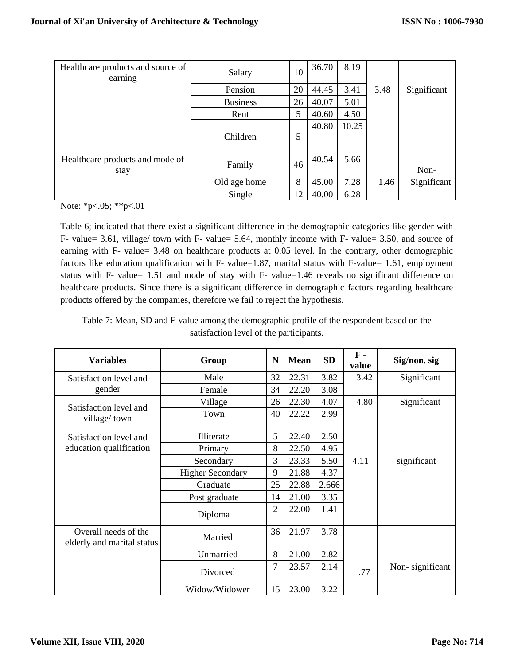| Healthcare products and source of<br>earning | Salary          | 10 | 36.70 | 8.19  |      |             |
|----------------------------------------------|-----------------|----|-------|-------|------|-------------|
|                                              | Pension         | 20 | 44.45 | 3.41  | 3.48 | Significant |
|                                              | <b>Business</b> | 26 | 40.07 | 5.01  |      |             |
|                                              | Rent            | 5  | 40.60 | 4.50  |      |             |
|                                              | Children        | 5  | 40.80 | 10.25 |      |             |
| Healthcare products and mode of<br>stay      | Family          | 46 | 40.54 | 5.66  |      | Non-        |
|                                              | Old age home    | 8  | 45.00 | 7.28  | 1.46 | Significant |
|                                              | Single          | 12 | 40.00 | 6.28  |      |             |

Note: \*p<.05; \*\*p<.01

Table 6; indicated that there exist a significant difference in the demographic categories like gender with F- value= 3.61, village/ town with F- value= 5.64, monthly income with F- value= 3.50, and source of earning with F- value= 3.48 on healthcare products at 0.05 level. In the contrary, other demographic factors like education qualification with F- value=1.87, marital status with F-value= 1.61, employment status with F- value= 1.51 and mode of stay with F- value=1.46 reveals no significant difference on healthcare products. Since there is a significant difference in demographic factors regarding healthcare products offered by the companies, therefore we fail to reject the hypothesis.

Table 7: Mean, SD and F-value among the demographic profile of the respondent based on the satisfaction level of the participants.

| <b>Variables</b>                                   | Group                   | N              | <b>Mean</b> | <b>SD</b> | $\mathbf{F}$ -<br>value | Sig/non. sig    |
|----------------------------------------------------|-------------------------|----------------|-------------|-----------|-------------------------|-----------------|
| Satisfaction level and                             | Male                    | 32             | 22.31       | 3.82      | 3.42                    | Significant     |
| gender                                             | Female                  | 34             | 22.20       | 3.08      |                         |                 |
|                                                    | Village                 | 26             | 22.30       | 4.07      | 4.80                    | Significant     |
| Satisfaction level and<br>village/town             | Town                    | 40             | 22.22       | 2.99      |                         |                 |
| Satisfaction level and                             | Illiterate              | 5              | 22.40       | 2.50      |                         |                 |
| education qualification                            | Primary                 | 8              | 22.50       | 4.95      |                         |                 |
|                                                    | Secondary               | 3              | 23.33       | 5.50      | 4.11                    | significant     |
|                                                    | <b>Higher Secondary</b> | 9              | 21.88       | 4.37      |                         |                 |
|                                                    | Graduate                | 25             | 22.88       | 2.666     |                         |                 |
|                                                    | Post graduate           | 14             | 21.00       | 3.35      |                         |                 |
|                                                    | Diploma                 | $\overline{2}$ | 22.00       | 1.41      |                         |                 |
| Overall needs of the<br>elderly and marital status | Married                 | 36             | 21.97       | 3.78      |                         |                 |
|                                                    | Unmarried               | 8              | 21.00       | 2.82      |                         |                 |
|                                                    | Divorced                | 7              | 23.57       | 2.14      | .77                     | Non-significant |
|                                                    | Widow/Widower           | 15             | 23.00       | 3.22      |                         |                 |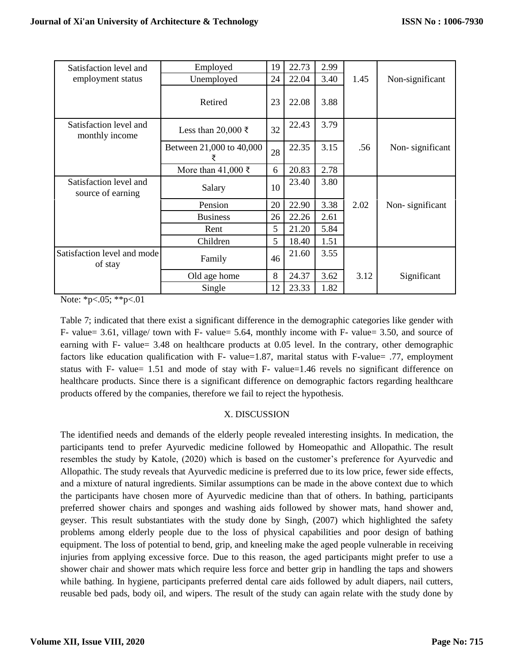| Satisfaction level and                      | Employed                      | 19 | 22.73 | 2.99 |      |                 |
|---------------------------------------------|-------------------------------|----|-------|------|------|-----------------|
| employment status                           | Unemployed                    | 24 | 22.04 | 3.40 | 1.45 | Non-significant |
|                                             | Retired                       | 23 | 22.08 | 3.88 |      |                 |
| Satisfaction level and<br>monthly income    | Less than 20,000 ₹            | 32 | 22.43 | 3.79 |      |                 |
|                                             | Between 21,000 to 40,000<br>₹ | 28 | 22.35 | 3.15 | .56  | Non-significant |
|                                             | More than 41,000 $\bar{\tau}$ | 6  | 20.83 | 2.78 |      |                 |
| Satisfaction level and<br>source of earning | Salary                        | 10 | 23.40 | 3.80 |      |                 |
|                                             | Pension                       | 20 | 22.90 | 3.38 | 2.02 | Non-significant |
|                                             | <b>Business</b>               | 26 | 22.26 | 2.61 |      |                 |
|                                             | Rent                          | 5  | 21.20 | 5.84 |      |                 |
|                                             | Children                      | 5  | 18.40 | 1.51 |      |                 |
| Satisfaction level and mode<br>of stay      | Family                        | 46 | 21.60 | 3.55 |      |                 |
|                                             | Old age home                  | 8  | 24.37 | 3.62 | 3.12 | Significant     |
|                                             | Single                        | 12 | 23.33 | 1.82 |      |                 |

Note: \*p<.05; \*\*p<.01

Table 7; indicated that there exist a significant difference in the demographic categories like gender with F- value= 3.61, village/ town with F- value= 5.64, monthly income with F- value= 3.50, and source of earning with F- value= 3.48 on healthcare products at 0.05 level. In the contrary, other demographic factors like education qualification with F- value=1.87, marital status with F-value= .77, employment status with F- value= 1.51 and mode of stay with F- value=1.46 revels no significant difference on healthcare products. Since there is a significant difference on demographic factors regarding healthcare products offered by the companies, therefore we fail to reject the hypothesis.

# X. DISCUSSION

The identified needs and demands of the elderly people revealed interesting insights. In medication, the participants tend to prefer Ayurvedic medicine followed by Homeopathic and Allopathic. The result resembles the study by Katole, (2020) which is based on the customer's preference for Ayurvedic and Allopathic. The study reveals that Ayurvedic medicine is preferred due to its low price, fewer side effects, and a mixture of natural ingredients. Similar assumptions can be made in the above context due to which the participants have chosen more of Ayurvedic medicine than that of others. In bathing, participants preferred shower chairs and sponges and washing aids followed by shower mats, hand shower and, geyser. This result substantiates with the study done by Singh, (2007) which highlighted the safety problems among elderly people due to the loss of physical capabilities and poor design of bathing equipment. The loss of potential to bend, grip, and kneeling make the aged people vulnerable in receiving injuries from applying excessive force. Due to this reason, the aged participants might prefer to use a shower chair and shower mats which require less force and better grip in handling the taps and showers while bathing. In hygiene, participants preferred dental care aids followed by adult diapers, nail cutters, reusable bed pads, body oil, and wipers. The result of the study can again relate with the study done by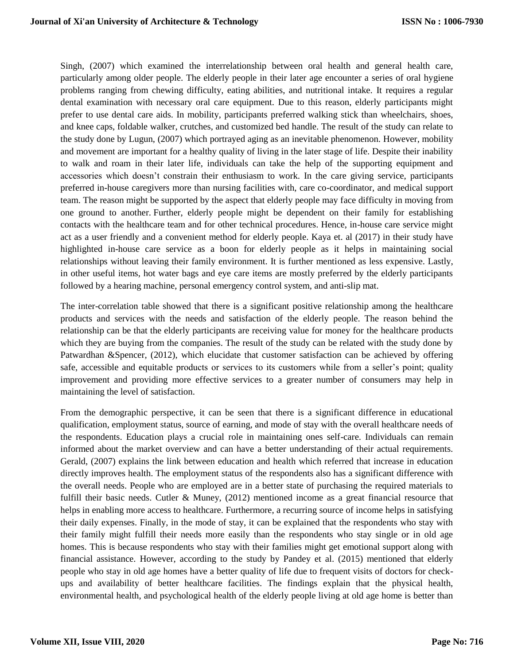Singh, (2007) which examined the interrelationship between oral health and general health care, particularly among older people. The elderly people in their later age encounter a series of oral hygiene problems ranging from chewing difficulty, eating abilities, and nutritional intake. It requires a regular dental examination with necessary oral care equipment. Due to this reason, elderly participants might prefer to use dental care aids. In mobility, participants preferred walking stick than wheelchairs, shoes, and knee caps, foldable walker, crutches, and customized bed handle. The result of the study can relate to the study done by Lugun, (2007) which portrayed aging as an inevitable phenomenon. However, mobility and movement are important for a healthy quality of living in the later stage of life. Despite their inability to walk and roam in their later life, individuals can take the help of the supporting equipment and accessories which doesn't constrain their enthusiasm to work. In the care giving service, participants preferred in-house caregivers more than nursing facilities with, care co-coordinator, and medical support team. The reason might be supported by the aspect that elderly people may face difficulty in moving from one ground to another. Further, elderly people might be dependent on their family for establishing contacts with the healthcare team and for other technical procedures. Hence, in-house care service might act as a user friendly and a convenient method for elderly people. Kaya et. al (2017) in their study have highlighted in-house care service as a boon for elderly people as it helps in maintaining social relationships without leaving their family environment. It is further mentioned as less expensive. Lastly, in other useful items, hot water bags and eye care items are mostly preferred by the elderly participants followed by a hearing machine, personal emergency control system, and anti-slip mat.

The inter-correlation table showed that there is a significant positive relationship among the healthcare products and services with the needs and satisfaction of the elderly people. The reason behind the relationship can be that the elderly participants are receiving value for money for the healthcare products which they are buying from the companies. The result of the study can be related with the study done by Patwardhan &Spencer, (2012), which elucidate that customer satisfaction can be achieved by offering safe, accessible and equitable products or services to its customers while from a seller's point; quality improvement and providing more effective services to a greater number of consumers may help in maintaining the level of satisfaction.

From the demographic perspective, it can be seen that there is a significant difference in educational qualification, employment status, source of earning, and mode of stay with the overall healthcare needs of the respondents. Education plays a crucial role in maintaining ones self-care. Individuals can remain informed about the market overview and can have a better understanding of their actual requirements. Gerald, (2007) explains the link between education and health which referred that increase in education directly improves health. The employment status of the respondents also has a significant difference with the overall needs. People who are employed are in a better state of purchasing the required materials to fulfill their basic needs. Cutler & Muney, (2012) mentioned income as a great financial resource that helps in enabling more access to healthcare. Furthermore, a recurring source of income helps in satisfying their daily expenses. Finally, in the mode of stay, it can be explained that the respondents who stay with their family might fulfill their needs more easily than the respondents who stay single or in old age homes. This is because respondents who stay with their families might get emotional support along with financial assistance. However, according to the study by Pandey et al. (2015) mentioned that elderly people who stay in old age homes have a better quality of life due to frequent visits of doctors for checkups and availability of better healthcare facilities. The findings explain that the physical health, environmental health, and psychological health of the elderly people living at old age home is better than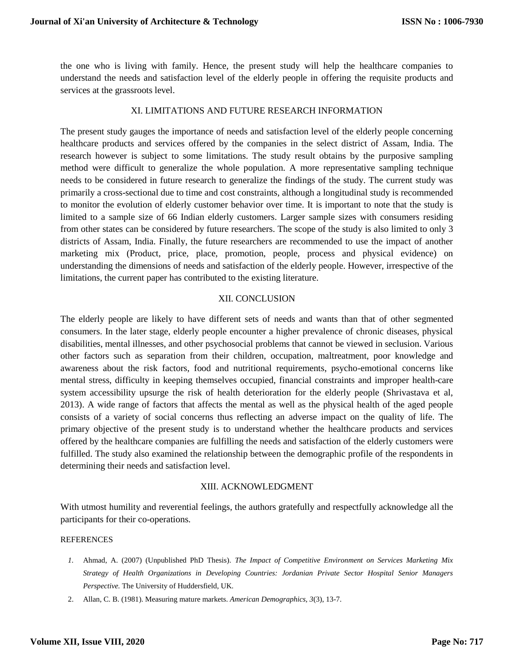the one who is living with family. Hence, the present study will help the healthcare companies to understand the needs and satisfaction level of the elderly people in offering the requisite products and services at the grassroots level.

#### XI. LIMITATIONS AND FUTURE RESEARCH INFORMATION

The present study gauges the importance of needs and satisfaction level of the elderly people concerning healthcare products and services offered by the companies in the select district of Assam, India. The research however is subject to some limitations. The study result obtains by the purposive sampling method were difficult to generalize the whole population. A more representative sampling technique needs to be considered in future research to generalize the findings of the study. The current study was primarily a cross-sectional due to time and cost constraints, although a longitudinal study is recommended to monitor the evolution of elderly customer behavior over time. It is important to note that the study is limited to a sample size of 66 Indian elderly customers. Larger sample sizes with consumers residing from other states can be considered by future researchers. The scope of the study is also limited to only 3 districts of Assam, India. Finally, the future researchers are recommended to use the impact of another marketing mix (Product, price, place, promotion, people, process and physical evidence) on understanding the dimensions of needs and satisfaction of the elderly people. However, irrespective of the limitations, the current paper has contributed to the existing literature.

#### XII. CONCLUSION

The elderly people are likely to have different sets of needs and wants than that of other segmented consumers. In the later stage, elderly people encounter a higher prevalence of chronic diseases, physical disabilities, mental illnesses, and other psychosocial problems that cannot be viewed in seclusion. Various other factors such as separation from their children, occupation, maltreatment, poor knowledge and awareness about the risk factors, food and nutritional requirements, psycho-emotional concerns like mental stress, difficulty in keeping themselves occupied, financial constraints and improper health-care system accessibility upsurge the risk of health deterioration for the elderly people (Shrivastava et al, 2013). A wide range of factors that affects the mental as well as the physical health of the aged people consists of a variety of social concerns thus reflecting an adverse impact on the quality of life. The primary objective of the present study is to understand whether the healthcare products and services offered by the healthcare companies are fulfilling the needs and satisfaction of the elderly customers were fulfilled. The study also examined the relationship between the demographic profile of the respondents in determining their needs and satisfaction level.

#### XIII. ACKNOWLEDGMENT

With utmost humility and reverential feelings, the authors gratefully and respectfully acknowledge all the participants for their co-operations.

#### **REFERENCES**

- *1.* Ahmad, A. (2007) (Unpublished PhD Thesis). *The Impact of Competitive Environment on Services Marketing Mix Strategy of Health Organizations in Developing Countries: Jordanian Private Sector Hospital Senior Managers Perspective.* The University of Huddersfield, UK.
- 2. Allan, C. B. (1981). Measuring mature markets. *American Demographics, 3*(3), 13-7.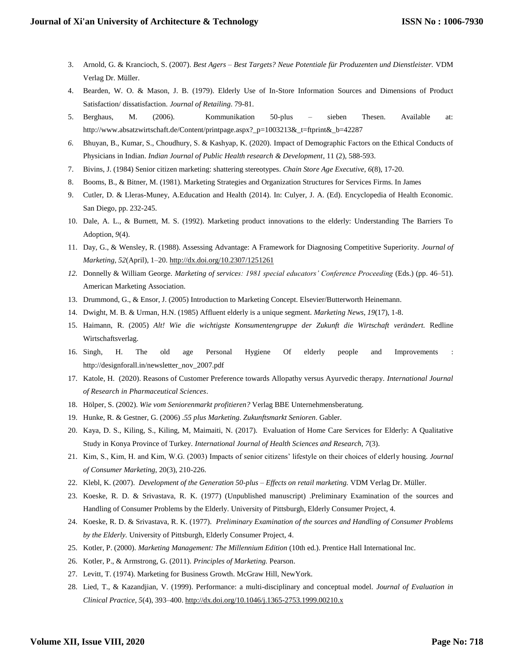- 3. Arnold, G. & Krancioch, S. (2007). *Best Agers – Best Targets? Neue Potentiale für Produzenten und Dienstleister.* VDM Verlag Dr. Müller.
- 4. Bearden, W. O. & Mason, J. B. (1979). Elderly Use of In-Store Information Sources and Dimensions of Product Satisfaction/ dissatisfaction. *Journal of Retailing*. 79-81.
- 5. Berghaus, M. (2006). Kommunikation 50-plus sieben Thesen. Available at: http://www.absatzwirtschaft.de/Content/printpage.aspx?\_p=1003213&\_t=ftprint&\_b=42287
- *6.* Bhuyan, B., Kumar, S., Choudhury, S. & Kashyap, K. (2020). Impact of Demographic Factors on the Ethical Conducts of Physicians in Indian. *Indian Journal of Public Health research & Development*, 11 (2), 588-593.
- 7. Bivins, J. (1984) Senior citizen marketing: shattering stereotypes. *Chain Store Age Executive*, *6*(8), 17-20.
- 8. Booms, B., & Bitner, M. (1981). Marketing Strategies and Organization Structures for Services Firms. In James
- 9. Cutler, D. & Lleras-Muney, A.Education and Health (2014). In: Culyer, J. A. (Ed). Encyclopedia of Health Economic. San Diego, pp. 232-245.
- 10. Dale, A. L., & Burnett, M. S. (1992). Marketing product innovations to the elderly: Understanding The Barriers To Adoption, *9*(4).
- 11. Day, G., & Wensley, R. (1988). Assessing Advantage: A Framework for Diagnosing Competitive Superiority. *Journal of Marketing, 52*(April), 1–20.<http://dx.doi.org/10.2307/1251261>
- *12.* Donnelly & William George. *Marketing of services: 1981 special educators' Conference Proceeding* (Eds.) (pp. 46–51). American Marketing Association.
- 13. Drummond, G., & Ensor, J. (2005) Introduction to Marketing Concept. Elsevier/Butterworth Heinemann.
- 14. Dwight, M. B. & Urman, H.N. (1985) Affluent elderly is a unique segment. *Marketing News*, *19*(17), 1-8.
- 15. Haimann, R. (2005) Alt! Wie die wichtigste Konsumentengruppe der Zukunft die Wirtschaft verändert. Redline Wirtschaftsverlag.
- 16. Singh, H. The old age Personal Hygiene Of elderly people and Improvements : http://designforall.in/newsletter\_nov\_2007.pdf
- 17. Katole, H. (2020). Reasons of Customer Preference towards Allopathy versus Ayurvedic therapy. *International Journal of Research in Pharmaceutical Sciences*.
- 18. Hölper, S. (2002). *Wie vom Seniorenmarkt profitieren?* Verlag BBE Unternehmensberatung.
- 19. Hunke, R. & Gestner, G. (2006) .*55 plus Marketing. Zukunftsmarkt Senioren*. Gabler.
- 20. Kaya, D. S., Kiling, S., Kiling, M, Maimaiti, N. (2017). Evaluation of Home Care Services for Elderly: A Qualitative Study in Konya Province of Turkey. *International Journal of Health Sciences and Research, 7*(3).
- 21. Kim, S., Kim, H. and Kim, W.G. (2003) Impacts of senior citizens' lifestyle on their choices of elderly housing. *Journal of Consumer Marketing*, 20(3), 210-226.
- 22. Klebl, K. (2007). *Development of the Generation 50-plus – Effects on retail marketing.* VDM Verlag Dr. Müller.
- 23. Koeske, R. D. & Srivastava, R. K. (1977) (Unpublished manuscript) .Preliminary Examination of the sources and Handling of Consumer Problems by the Elderly. University of Pittsburgh, Elderly Consumer Project, 4.
- 24. Koeske, R. D. & Srivastava, R. K. (1977). *Preliminary Examination of the sources and Handling of Consumer Problems by the Elderly.* University of Pittsburgh, Elderly Consumer Project, 4.
- 25. Kotler, P. (2000). *Marketing Management: The Millennium Edition* (10th ed.). Prentice Hall International Inc.
- 26. Kotler, P., & Armstrong, G. (2011). *Principles of Marketing.* Pearson.
- 27. Levitt, T. (1974). Marketing for Business Growth. McGraw Hill, NewYork.
- 28. Lied, T., & Kazandjian, V. (1999). Performance: a multi-disciplinary and conceptual model. *Journal of Evaluation in Clinical Practice, 5*(4), 393–400[. http://dx.doi.org/10.1046/j.1365-2753.1999.00210.x](http://dx.doi.org/10.1046/j.1365-2753.1999.00210.x)